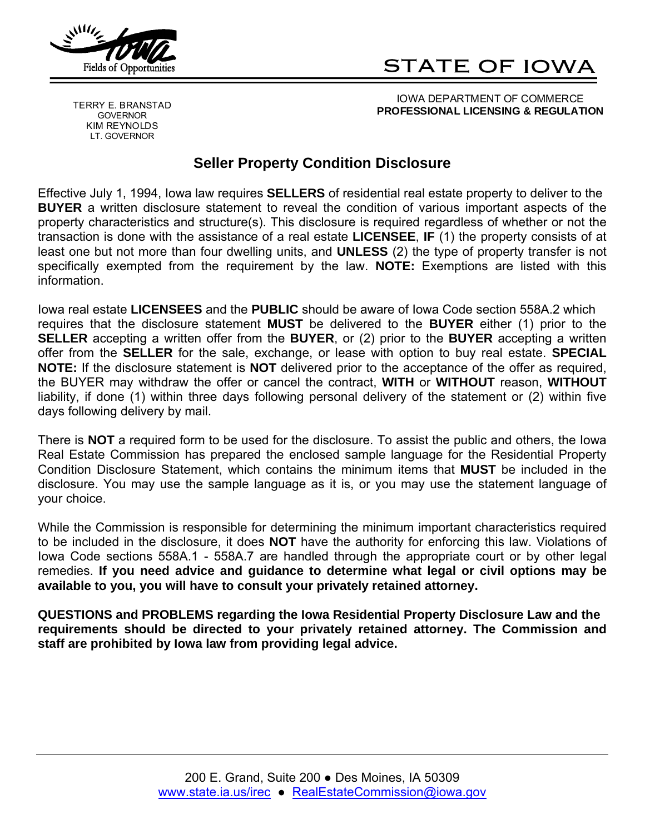

# STATE OF IOWA

GOVERNOR KIM REYNOLDS LT. GOVERNOR

IOWA DEPARTMENT OF COMMERCE **PROFESSIONAL LICENSING & REGULATION** TERRY E. BRANSTAD

## **Seller Property Condition Disclosure**

Effective July 1, 1994, Iowa law requires **SELLERS** of residential real estate property to deliver to the **BUYER** a written disclosure statement to reveal the condition of various important aspects of the property characteristics and structure(s). This disclosure is required regardless of whether or not the transaction is done with the assistance of a real estate **LICENSEE**, **IF** (1) the property consists of at least one but not more than four dwelling units, and **UNLESS** (2) the type of property transfer is not specifically exempted from the requirement by the law. **NOTE:** Exemptions are listed with this information.

Iowa real estate **LICENSEES** and the **PUBLIC** should be aware of Iowa Code section 558A.2 which requires that the disclosure statement **MUST** be delivered to the **BUYER** either (1) prior to the **SELLER** accepting a written offer from the **BUYER**, or (2) prior to the **BUYER** accepting a written offer from the **SELLER** for the sale, exchange, or lease with option to buy real estate. **SPECIAL NOTE:** If the disclosure statement is **NOT** delivered prior to the acceptance of the offer as required, the BUYER may withdraw the offer or cancel the contract, **WITH** or **WITHOUT** reason, **WITHOUT**  liability, if done (1) within three days following personal delivery of the statement or (2) within five days following delivery by mail.

There is **NOT** a required form to be used for the disclosure. To assist the public and others, the Iowa Real Estate Commission has prepared the enclosed sample language for the Residential Property Condition Disclosure Statement, which contains the minimum items that **MUST** be included in the disclosure. You may use the sample language as it is, or you may use the statement language of your choice.

While the Commission is responsible for determining the minimum important characteristics required to be included in the disclosure, it does **NOT** have the authority for enforcing this law. Violations of Iowa Code sections 558A.1 - 558A.7 are handled through the appropriate court or by other legal remedies. **If you need advice and guidance to determine what legal or civil options may be available to you, you will have to consult your privately retained attorney.** 

**QUESTIONS and PROBLEMS regarding the Iowa Residential Property Disclosure Law and the requirements should be directed to your privately retained attorney. The Commission and staff are prohibited by Iowa law from providing legal advice.**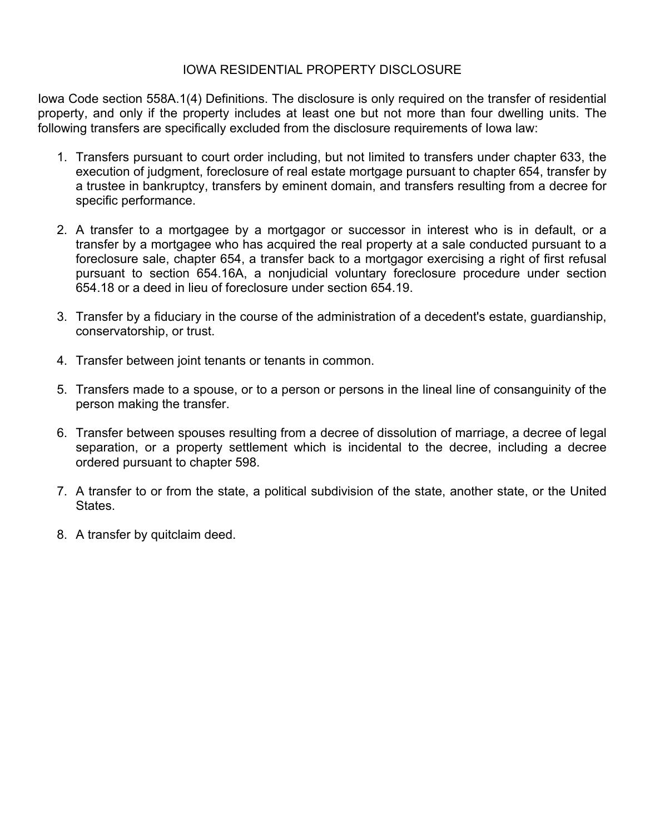#### IOWA RESIDENTIAL PROPERTY DISCLOSURE

Iowa Code section 558A.1(4) Definitions. The disclosure is only required on the transfer of residential property, and only if the property includes at least one but not more than four dwelling units. The following transfers are specifically excluded from the disclosure requirements of Iowa law:

- 1. Transfers pursuant to court order including, but not limited to transfers under chapter 633, the execution of judgment, foreclosure of real estate mortgage pursuant to chapter 654, transfer by a trustee in bankruptcy, transfers by eminent domain, and transfers resulting from a decree for specific performance.
- 2. A transfer to a mortgagee by a mortgagor or successor in interest who is in default, or a transfer by a mortgagee who has acquired the real property at a sale conducted pursuant to a foreclosure sale, chapter 654, a transfer back to a mortgagor exercising a right of first refusal pursuant to section 654.16A, a nonjudicial voluntary foreclosure procedure under section 654.18 or a deed in lieu of foreclosure under section 654.19.
- 3. Transfer by a fiduciary in the course of the administration of a decedent's estate, guardianship, conservatorship, or trust.
- 4. Transfer between joint tenants or tenants in common.
- 5. Transfers made to a spouse, or to a person or persons in the lineal line of consanguinity of the person making the transfer.
- 6. Transfer between spouses resulting from a decree of dissolution of marriage, a decree of legal separation, or a property settlement which is incidental to the decree, including a decree ordered pursuant to chapter 598.
- 7. A transfer to or from the state, a political subdivision of the state, another state, or the United States.
- 8. A transfer by quitclaim deed.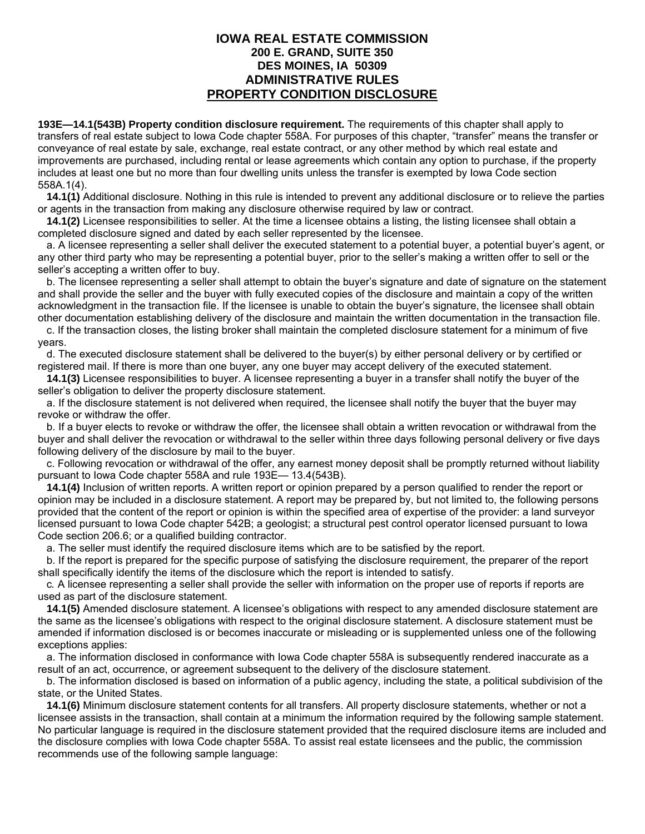#### **IOWA REAL ESTATE COMMISSION 200 E. GRAND, SUITE 350 DES MOINES, IA 50309 ADMINISTRATIVE RULES PROPERTY CONDITION DISCLOSURE**

**193E—14.1(543B) Property condition disclosure requirement.** The requirements of this chapter shall apply to transfers of real estate subject to Iowa Code chapter 558A. For purposes of this chapter, "transfer" means the transfer or conveyance of real estate by sale, exchange, real estate contract, or any other method by which real estate and improvements are purchased, including rental or lease agreements which contain any option to purchase, if the property includes at least one but no more than four dwelling units unless the transfer is exempted by Iowa Code section 558A.1(4).

 **14.1(1)** Additional disclosure. Nothing in this rule is intended to prevent any additional disclosure or to relieve the parties or agents in the transaction from making any disclosure otherwise required by law or contract.

 **14.1(2)** Licensee responsibilities to seller. At the time a licensee obtains a listing, the listing licensee shall obtain a completed disclosure signed and dated by each seller represented by the licensee.

a. A licensee representing a seller shall deliver the executed statement to a potential buyer, a potential buyer's agent, or any other third party who may be representing a potential buyer, prior to the seller's making a written offer to sell or the seller's accepting a written offer to buy.

b. The licensee representing a seller shall attempt to obtain the buyer's signature and date of signature on the statement and shall provide the seller and the buyer with fully executed copies of the disclosure and maintain a copy of the written acknowledgment in the transaction file. If the licensee is unable to obtain the buyer's signature, the licensee shall obtain other documentation establishing delivery of the disclosure and maintain the written documentation in the transaction file.

c. If the transaction closes, the listing broker shall maintain the completed disclosure statement for a minimum of five years.

d. The executed disclosure statement shall be delivered to the buyer(s) by either personal delivery or by certified or registered mail. If there is more than one buyer, any one buyer may accept delivery of the executed statement.

 **14.1(3)** Licensee responsibilities to buyer. A licensee representing a buyer in a transfer shall notify the buyer of the seller's obligation to deliver the property disclosure statement.

a. If the disclosure statement is not delivered when required, the licensee shall notify the buyer that the buyer may revoke or withdraw the offer.

b. If a buyer elects to revoke or withdraw the offer, the licensee shall obtain a written revocation or withdrawal from the buyer and shall deliver the revocation or withdrawal to the seller within three days following personal delivery or five days following delivery of the disclosure by mail to the buyer.

c. Following revocation or withdrawal of the offer, any earnest money deposit shall be promptly returned without liability pursuant to Iowa Code chapter 558A and rule 193E— 13.4(543B).

 **14.1(4)** Inclusion of written reports. A written report or opinion prepared by a person qualified to render the report or opinion may be included in a disclosure statement. A report may be prepared by, but not limited to, the following persons provided that the content of the report or opinion is within the specified area of expertise of the provider: a land surveyor licensed pursuant to Iowa Code chapter 542B; a geologist; a structural pest control operator licensed pursuant to Iowa Code section 206.6; or a qualified building contractor.

a. The seller must identify the required disclosure items which are to be satisfied by the report.

b. If the report is prepared for the specific purpose of satisfying the disclosure requirement, the preparer of the report shall specifically identify the items of the disclosure which the report is intended to satisfy.

c*.* A licensee representing a seller shall provide the seller with information on the proper use of reports if reports are used as part of the disclosure statement.

 **14.1(5)** Amended disclosure statement. A licensee's obligations with respect to any amended disclosure statement are the same as the licensee's obligations with respect to the original disclosure statement. A disclosure statement must be amended if information disclosed is or becomes inaccurate or misleading or is supplemented unless one of the following exceptions applies:

a. The information disclosed in conformance with Iowa Code chapter 558A is subsequently rendered inaccurate as a result of an act, occurrence, or agreement subsequent to the delivery of the disclosure statement.

b. The information disclosed is based on information of a public agency, including the state, a political subdivision of the state, or the United States.

 **14.1(6)** Minimum disclosure statement contents for all transfers. All property disclosure statements, whether or not a licensee assists in the transaction, shall contain at a minimum the information required by the following sample statement. No particular language is required in the disclosure statement provided that the required disclosure items are included and the disclosure complies with Iowa Code chapter 558A. To assist real estate licensees and the public, the commission recommends use of the following sample language: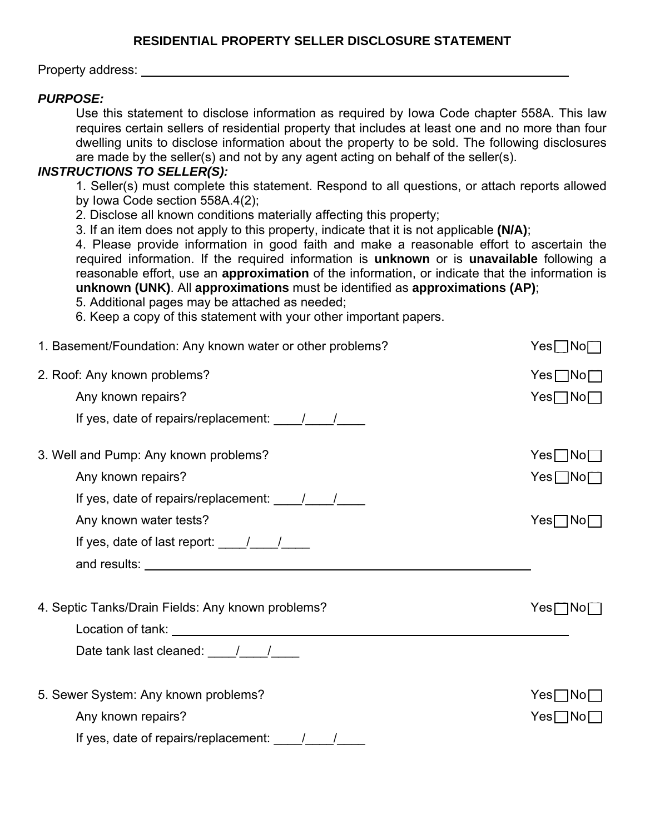Property address:

### *PURPOSE:*

Use this statement to disclose information as required by Iowa Code chapter 558A. This law requires certain sellers of residential property that includes at least one and no more than four dwelling units to disclose information about the property to be sold. The following disclosures are made by the seller(s) and not by any agent acting on behalf of the seller(s).

#### *INSTRUCTIONS TO SELLER(S):*

1. Seller(s) must complete this statement. Respond to all questions, or attach reports allowed by Iowa Code section 558A.4(2);

2. Disclose all known conditions materially affecting this property;

3. If an item does not apply to this property, indicate that it is not applicable **(N/A)**;

4. Please provide information in good faith and make a reasonable effort to ascertain the required information. If the required information is **unknown** or is **unavailable** following a reasonable effort, use an **approximation** of the information, or indicate that the information is **unknown (UNK)**. All **approximations** must be identified as **approximations (AP)**;

5. Additional pages may be attached as needed;

6. Keep a copy of this statement with your other important papers.

| 1. Basement/Foundation: Any known water or other problems? | $Yes \Box No \Box$ |
|------------------------------------------------------------|--------------------|
| 2. Roof: Any known problems?                               | $Yes \Box No \Box$ |
| Any known repairs?                                         | $Yes \Box No \Box$ |
| If yes, date of repairs/replacement: $\frac{1}{\sqrt{2}}$  |                    |
| 3. Well and Pump: Any known problems?                      | $Yes \Box No \Box$ |
| Any known repairs?                                         | $Yes \Box No \Box$ |
| If yes, date of repairs/replacement: $\frac{1}{\sqrt{2}}$  |                    |
| Any known water tests?                                     | $Yes \Box No \Box$ |
| If yes, date of last report: $\frac{1}{\sqrt{2}}$          |                    |
|                                                            |                    |
| 4. Septic Tanks/Drain Fields: Any known problems?          | $Yes \Box No \Box$ |
|                                                            |                    |
| Date tank last cleaned: $\frac{1}{\sqrt{2}}$               |                    |
| 5. Sewer System: Any known problems?                       | $Yes \Box No \Box$ |
| Any known repairs?                                         | $Yes \Box No \Box$ |
| If yes, date of repairs/replacement: $\frac{1}{\sqrt{2}}$  |                    |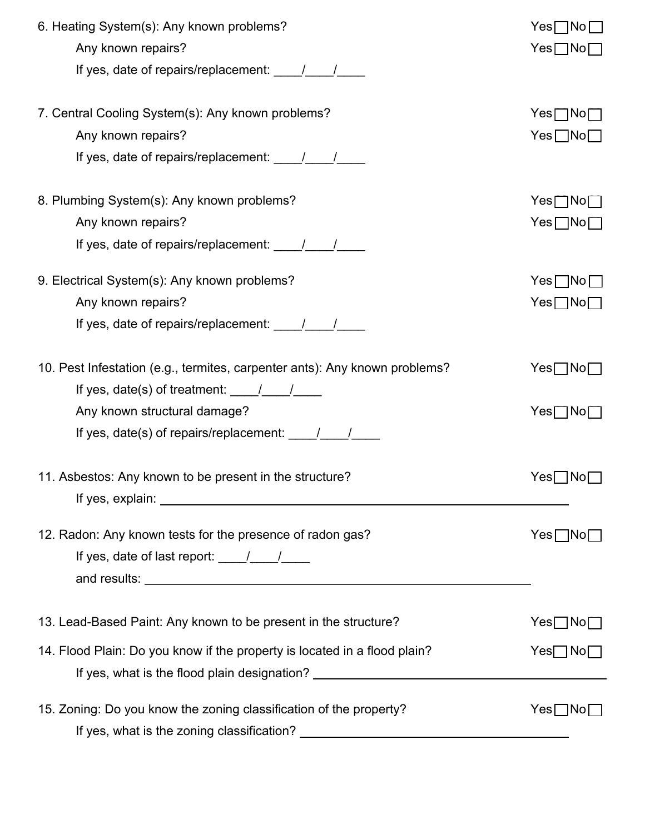| 6. Heating System(s): Any known problems?<br>Any known repairs?                                                                                                                                                                     | $Yes \Box No \Box$<br>$Yes \Box No \Box$ |
|-------------------------------------------------------------------------------------------------------------------------------------------------------------------------------------------------------------------------------------|------------------------------------------|
|                                                                                                                                                                                                                                     |                                          |
| 7. Central Cooling System(s): Any known problems?                                                                                                                                                                                   | $Yes \Box No \Box$                       |
| Any known repairs?                                                                                                                                                                                                                  | $Yes \Box No \Box$                       |
|                                                                                                                                                                                                                                     |                                          |
| 8. Plumbing System(s): Any known problems?                                                                                                                                                                                          | $Yes \Box No \Box$                       |
| Any known repairs?                                                                                                                                                                                                                  | $Yes \Box No \Box$                       |
|                                                                                                                                                                                                                                     |                                          |
| 9. Electrical System(s): Any known problems?                                                                                                                                                                                        | $Yes \Box No \Box$                       |
| Any known repairs?                                                                                                                                                                                                                  | $Yes \Box No \Box$                       |
| If yes, date of repairs/replacement: $\frac{1}{\sqrt{2}}$                                                                                                                                                                           |                                          |
| 10. Pest Infestation (e.g., termites, carpenter ants): Any known problems?                                                                                                                                                          | $Yes \Box No \Box$                       |
| If yes, date(s) of treatment: $\frac{1}{\sqrt{2}}$                                                                                                                                                                                  |                                          |
| Any known structural damage?                                                                                                                                                                                                        | $Yes \Box No \Box$                       |
|                                                                                                                                                                                                                                     |                                          |
| 11. Asbestos: Any known to be present in the structure?                                                                                                                                                                             | Yes∏No∏                                  |
| If yes, explain: <u>contract the contract of year</u> and year and year and year and year and year and year and year and year and year and year and year and year and year and year and year and year and year and year and year an |                                          |
| 12. Radon: Any known tests for the presence of radon gas?                                                                                                                                                                           | $Yes \Box No \Box$                       |
|                                                                                                                                                                                                                                     |                                          |
|                                                                                                                                                                                                                                     |                                          |
| 13. Lead-Based Paint: Any known to be present in the structure?                                                                                                                                                                     | $Yes \Box No \Box$                       |
| 14. Flood Plain: Do you know if the property is located in a flood plain?                                                                                                                                                           | $Yes \Box No \Box$                       |
| If yes, what is the flood plain designation? ___________________________________                                                                                                                                                    |                                          |
| 15. Zoning: Do you know the zoning classification of the property?                                                                                                                                                                  | $Yes \Box No \Box$                       |
|                                                                                                                                                                                                                                     |                                          |